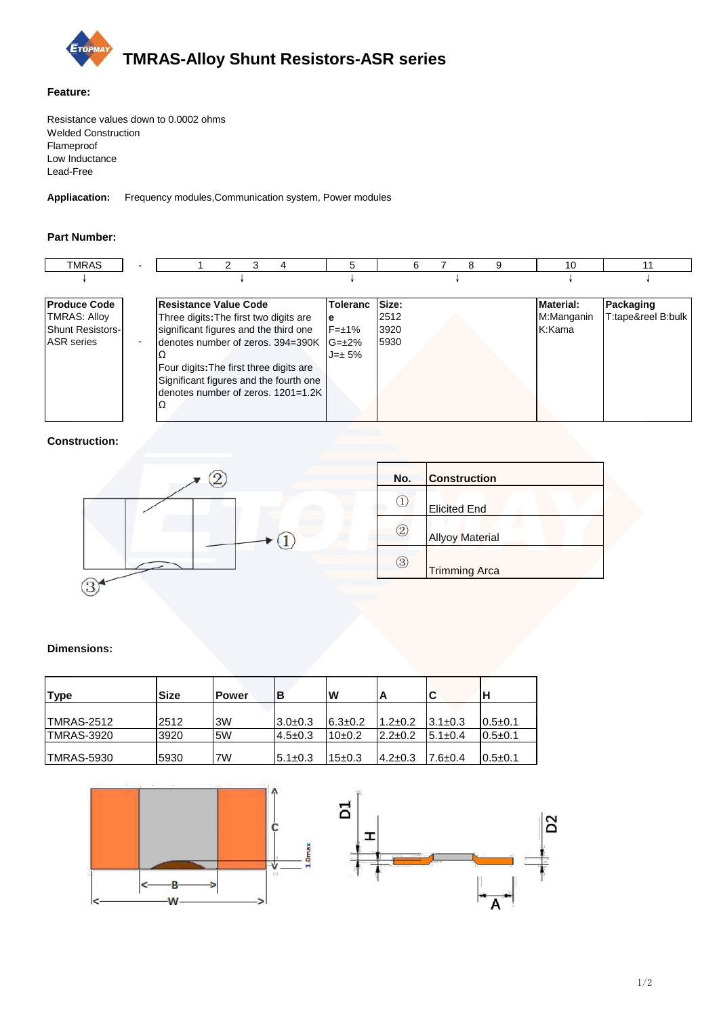

#### **Feature:**

Resistance values down to 0.0002 ohms Welded Construction Flameproof Low Inductance Lead-Free

**Appliacation:** Frequency modules,Communication system, Power modules

### **Part Number:**

| <b>TMRAS</b>            |                                         |                                    | 5               |       |  | 9 | 10               |                    |
|-------------------------|-----------------------------------------|------------------------------------|-----------------|-------|--|---|------------------|--------------------|
|                         |                                         |                                    |                 |       |  |   |                  |                    |
| <b>Produce Code</b>     | Resistance Value Code                   |                                    | <b>Toleranc</b> | Size: |  |   | <b>Material:</b> | Packaging          |
| <b>TMRAS: Alloy</b>     | Three digits: The first two digits are  |                                    | ıe              | 2512  |  |   | M:Manganin       | T:tape&reel B:bulk |
| <b>Shunt Resistors-</b> | significant figures and the third one   |                                    | $F=\pm 1\%$     | 3920  |  |   | K:Kama           |                    |
| <b>ASR</b> series       | denotes number of zeros. 394=390K G=±2% |                                    |                 | 5930  |  |   |                  |                    |
|                         |                                         |                                    | $J = \pm 5\%$   |       |  |   |                  |                    |
|                         | Four digits: The first three digits are |                                    |                 |       |  |   |                  |                    |
|                         | Significant figures and the fourth one  |                                    |                 |       |  |   |                  |                    |
|                         |                                         | denotes number of zeros, 1201=1.2K |                 |       |  |   |                  |                    |
|                         | Ω                                       |                                    |                 |       |  |   |                  |                    |
|                         |                                         |                                    |                 |       |  |   |                  |                    |

**Construction:**



| No.          | <b>Construction</b>    |  |
|--------------|------------------------|--|
|              | <b>Elicited End</b>    |  |
| $\mathbf{2}$ | <b>Allyoy Material</b> |  |
| 3            | <b>Trimming Arca</b>   |  |

#### **Dimensions:**

| <b>Type</b> | <b>Size</b> | <b>Power</b> | ΙB            | W             |               |                |               |
|-------------|-------------|--------------|---------------|---------------|---------------|----------------|---------------|
|             |             |              |               |               |               |                |               |
| ITMRAS-2512 | 2512        | 3W           | $3.0+0.3$     | $6.3 \pm 0.2$ | $1.2 \pm 0.2$ | $13.1 \pm 0.3$ | $0.5 \pm 0.1$ |
| TMRAS-3920  | 3920        | 5W           | $4.5 \pm 0.3$ | $10\pm 0.2$   | $2.2 \pm 0.2$ | $5.1 \pm 0.4$  | $0.5 \pm 0.1$ |
|             |             |              |               |               |               |                |               |
| TMRAS-5930  | 5930        | 7W           | $5.1 \pm 0.3$ | 15±0.3        | $4.2 \pm 0.3$ | $7.6 \pm 0.4$  | $0.5 \pm 0.1$ |